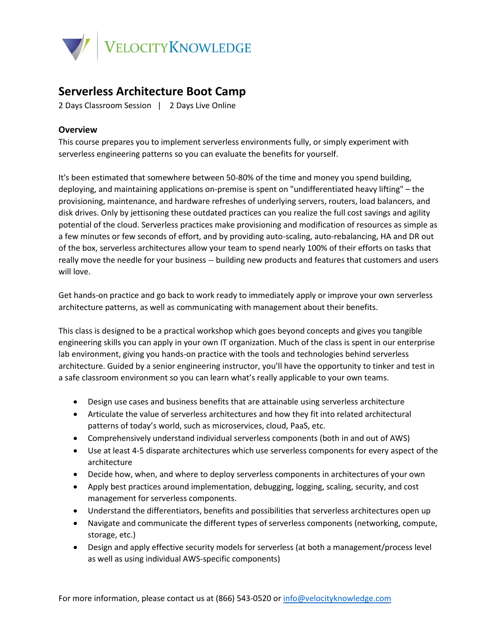

## **Serverless Architecture Boot Camp**

2 Days Classroom Session | 2 Days Live Online

## **Overview**

This course prepares you to implement serverless environments fully, or simply experiment with serverless engineering patterns so you can evaluate the benefits for yourself.

It's been estimated that somewhere between 50-80% of the time and money you spend building, deploying, and maintaining applications on-premise is spent on "undifferentiated heavy lifting" – the provisioning, maintenance, and hardware refreshes of underlying servers, routers, load balancers, and disk drives. Only by jettisoning these outdated practices can you realize the full cost savings and agility potential of the cloud. Serverless practices make provisioning and modification of resources as simple as a few minutes or few seconds of effort, and by providing auto-scaling, auto-rebalancing, HA and DR out of the box, serverless architectures allow your team to spend nearly 100% of their efforts on tasks that really move the needle for your business -- building new products and features that customers and users will love.

Get hands-on practice and go back to work ready to immediately apply or improve your own serverless architecture patterns, as well as communicating with management about their benefits.

This class is designed to be a practical workshop which goes beyond concepts and gives you tangible engineering skills you can apply in your own IT organization. Much of the class is spent in our enterprise lab environment, giving you hands-on practice with the tools and technologies behind serverless architecture. Guided by a senior engineering instructor, you'll have the opportunity to tinker and test in a safe classroom environment so you can learn what's really applicable to your own teams.

- Design use cases and business benefits that are attainable using serverless architecture
- Articulate the value of serverless architectures and how they fit into related architectural patterns of today's world, such as microservices, cloud, PaaS, etc.
- Comprehensively understand individual serverless components (both in and out of AWS)
- Use at least 4-5 disparate architectures which use serverless components for every aspect of the architecture
- Decide how, when, and where to deploy serverless components in architectures of your own
- Apply best practices around implementation, debugging, logging, scaling, security, and cost management for serverless components.
- Understand the differentiators, benefits and possibilities that serverless architectures open up
- Navigate and communicate the different types of serverless components (networking, compute, storage, etc.)
- Design and apply effective security models for serverless (at both a management/process level as well as using individual AWS-specific components)